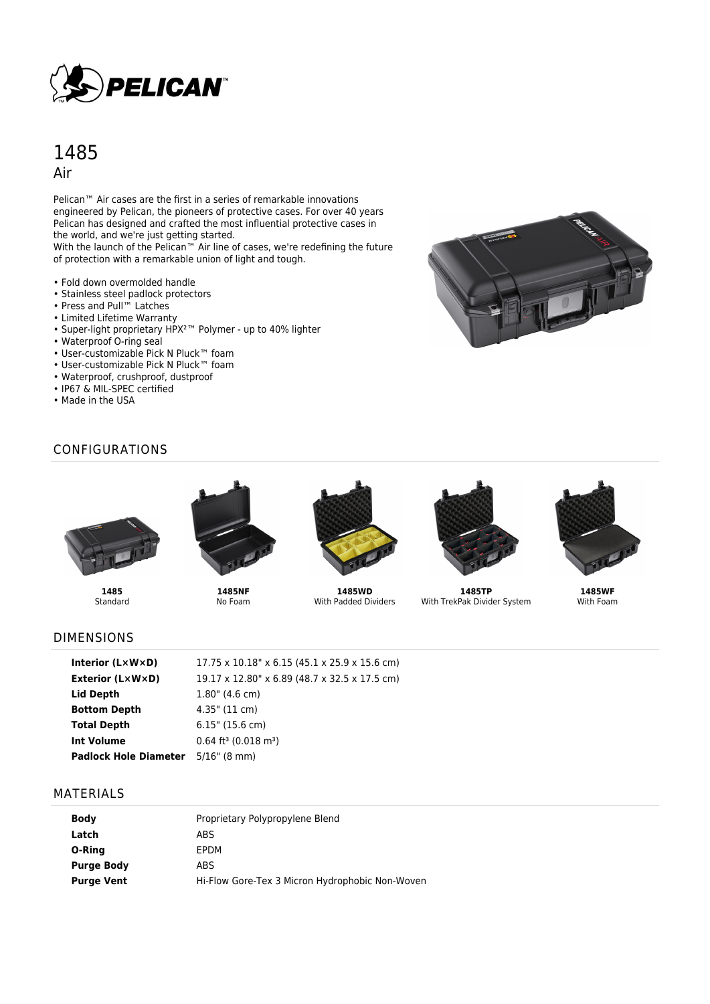

# 1485 Air

Pelican<sup>™</sup> Air cases are the first in a series of remarkable innovations engineered by Pelican, the pioneers of protective cases. For over 40 years Pelican has designed and crafted the most influential protective cases in the world, and we're just getting started.

With the launch of the Pelican™ Air line of cases, we're redefining the future of protection with a remarkable union of light and tough.

- Fold down overmolded handle
- Stainless steel padlock protectors
- Press and Pull™ Latches
- Limited Lifetime Warranty
- Super-light proprietary HPX²™ Polymer up to 40% lighter
- Waterproof O-ring seal
- User-customizable Pick N Pluck™ foam
- User-customizable Pick N Pluck™ foam
- Waterproof, crushproof, dustproof
- IP67 & MIL-SPEC certified
- Made in the USA



#### CONFIGURATIONS



**1485** Standard



**1485NF** No Foam



**1485WD** With Padded Dividers



**1485TP** With TrekPak Divider System



**1485WF** With Foam

#### DIMENSIONS

| Interior $(L \times W \times D)$ | $17.75 \times 10.18" \times 6.15 (45.1 \times 25.9 \times 15.6$ cm) |
|----------------------------------|---------------------------------------------------------------------|
| <b>Exterior (L×W×D)</b>          | 19.17 x 12.80" x 6.89 (48.7 x 32.5 x 17.5 cm)                       |
| Lid Depth                        | $1.80$ " (4.6 cm)                                                   |
| <b>Bottom Depth</b>              | $4.35$ " (11 cm)                                                    |
| <b>Total Depth</b>               | $6.15$ " (15.6 cm)                                                  |
| Int Volume                       | $0.64$ ft <sup>3</sup> (0.018 m <sup>3</sup> )                      |
| <b>Padlock Hole Diameter</b>     | $5/16$ " (8 mm)                                                     |

#### MATERIALS

| <b>Body</b>       | Proprietary Polypropylene Blend                 |
|-------------------|-------------------------------------------------|
| Latch             | ABS                                             |
| O-Ring            | EPDM                                            |
| <b>Purge Body</b> | ABS                                             |
| <b>Purge Vent</b> | Hi-Flow Gore-Tex 3 Micron Hydrophobic Non-Woven |
|                   |                                                 |